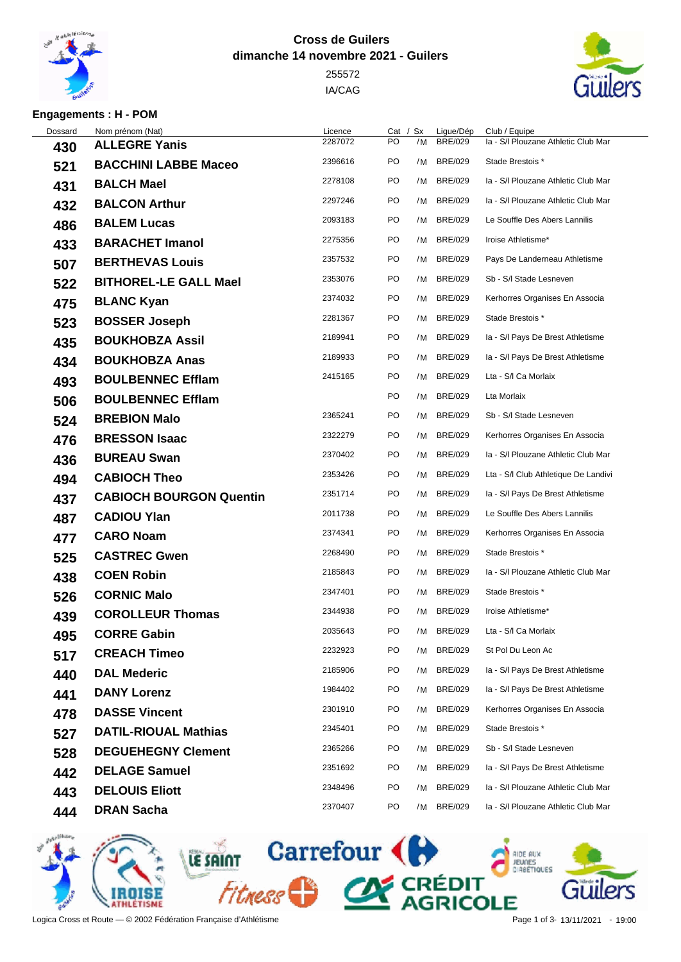

## **Cross de Guilers dimanche 14 novembre 2021 - Guilers**

 IA/CAG



## **Engagements : H - POM**

| Dossard | Nom prénom (Nat)               | Licence | Cat | Sx | Ligue/Dép      | Club / Equipe                        |
|---------|--------------------------------|---------|-----|----|----------------|--------------------------------------|
| 430     | <b>ALLEGRE Yanis</b>           | 2287072 | PO  | /M | <b>BRE/029</b> | Ia - S/I Plouzane Athletic Club Mar  |
| 521     | <b>BACCHINI LABBE Maceo</b>    | 2396616 | PO  | /M | <b>BRE/029</b> | Stade Brestois *                     |
| 431     | <b>BALCH Mael</b>              | 2278108 | PO  | /M | <b>BRE/029</b> | Ia - S/I Plouzane Athletic Club Mar  |
| 432     | <b>BALCON Arthur</b>           | 2297246 | PO  | /M | <b>BRE/029</b> | Ia - S/I Plouzane Athletic Club Mar  |
| 486     | <b>BALEM Lucas</b>             | 2093183 | PO  | /M | <b>BRE/029</b> | Le Souffle Des Abers Lannilis        |
| 433     | <b>BARACHET Imanol</b>         | 2275356 | PO  | /M | <b>BRE/029</b> | Iroise Athletisme*                   |
| 507     | <b>BERTHEVAS Louis</b>         | 2357532 | PO  | /M | <b>BRE/029</b> | Pays De Landerneau Athletisme        |
| 522     | <b>BITHOREL-LE GALL Mael</b>   | 2353076 | PO  | /M | <b>BRE/029</b> | Sb - S/I Stade Lesneven              |
| 475     | <b>BLANC Kyan</b>              | 2374032 | PO  | /M | <b>BRE/029</b> | Kerhorres Organises En Associa       |
| 523     | <b>BOSSER Joseph</b>           | 2281367 | PO  | /M | <b>BRE/029</b> | Stade Brestois *                     |
| 435     | <b>BOUKHOBZA Assil</b>         | 2189941 | PO  | /M | <b>BRE/029</b> | Ia - S/I Pays De Brest Athletisme    |
| 434     | <b>BOUKHOBZA Anas</b>          | 2189933 | PO  | /M | <b>BRE/029</b> | Ia - S/I Pays De Brest Athletisme    |
| 493     | <b>BOULBENNEC Efflam</b>       | 2415165 | PO  | /M | <b>BRE/029</b> | Lta - S/I Ca Morlaix                 |
| 506     | <b>BOULBENNEC Efflam</b>       |         | PO  | /M | <b>BRE/029</b> | Lta Morlaix                          |
| 524     | <b>BREBION Malo</b>            | 2365241 | PO  | /M | <b>BRE/029</b> | Sb - S/I Stade Lesneven              |
| 476     | <b>BRESSON Isaac</b>           | 2322279 | PO  | /M | <b>BRE/029</b> | Kerhorres Organises En Associa       |
| 436     | <b>BUREAU Swan</b>             | 2370402 | PO  | /M | <b>BRE/029</b> | Ia - S/I Plouzane Athletic Club Mar  |
| 494     | <b>CABIOCH Theo</b>            | 2353426 | PO  | /M | <b>BRE/029</b> | Lta - S/I Club Athletique De Landivi |
| 437     | <b>CABIOCH BOURGON Quentin</b> | 2351714 | PO  | /M | <b>BRE/029</b> | Ia - S/I Pays De Brest Athletisme    |
| 487     | <b>CADIOU Ylan</b>             | 2011738 | PO  | /M | <b>BRE/029</b> | Le Souffle Des Abers Lannilis        |
| 477     | <b>CARO Noam</b>               | 2374341 | PO  | /M | <b>BRE/029</b> | Kerhorres Organises En Associa       |
| 525     | <b>CASTREC Gwen</b>            | 2268490 | PO  | /M | <b>BRE/029</b> | Stade Brestois *                     |
| 438     | <b>COEN Robin</b>              | 2185843 | PO  | /M | <b>BRE/029</b> | Ia - S/I Plouzane Athletic Club Mar  |
| 526     | <b>CORNIC Malo</b>             | 2347401 | PO  | /M | <b>BRE/029</b> | Stade Brestois *                     |
| 439     | <b>COROLLEUR Thomas</b>        | 2344938 | PO  | /M | <b>BRE/029</b> | Iroise Athletisme*                   |
| 495     | <b>CORRE Gabin</b>             | 2035643 | PO  | /M | <b>BRE/029</b> | Lta - S/I Ca Morlaix                 |
| 517     | <b>CREACH Timeo</b>            | 2232923 | PO  | /M | <b>BRE/029</b> | St Pol Du Leon Ac                    |
| 440     | <b>DAL Mederic</b>             | 2185906 | PO  | /M | <b>BRE/029</b> | Ia - S/I Pays De Brest Athletisme    |
| 441     | <b>DANY Lorenz</b>             | 1984402 | PO  | /M | <b>BRE/029</b> | Ia - S/I Pays De Brest Athletisme    |
| 478     | <b>DASSE Vincent</b>           | 2301910 | PO  | /M | <b>BRE/029</b> | Kerhorres Organises En Associa       |
| 527     | <b>DATIL-RIOUAL Mathias</b>    | 2345401 | PO  | /M | <b>BRE/029</b> | Stade Brestois *                     |
| 528     | <b>DEGUEHEGNY Clement</b>      | 2365266 | PO  | /M | <b>BRE/029</b> | Sb - S/I Stade Lesneven              |
| 442     | <b>DELAGE Samuel</b>           | 2351692 | PO  | /M | <b>BRE/029</b> | Ia - S/I Pays De Brest Athletisme    |
| 443     | <b>DELOUIS Eliott</b>          | 2348496 | PO  | /M | <b>BRE/029</b> | Ia - S/I Plouzane Athletic Club Mar  |
| 444     | <b>DRAN Sacha</b>              | 2370407 | PO  | /M | <b>BRE/029</b> | Ia - S/I Plouzane Athletic Club Mar  |
|         |                                |         |     |    |                |                                      |



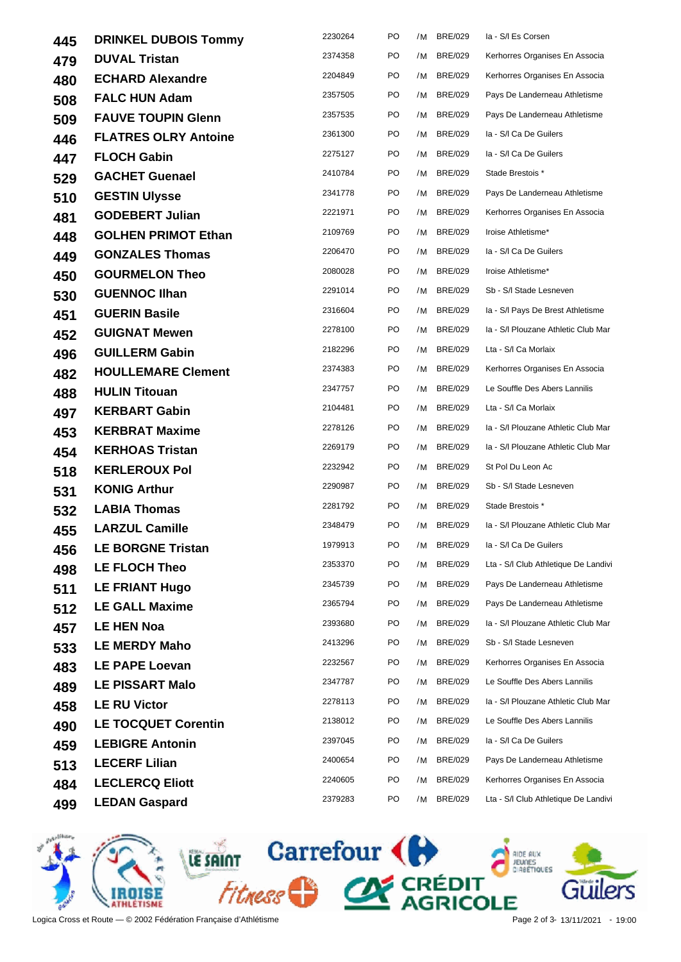| 445 | <b>DRINKEL DUBOIS Tommy</b> | 2230264 | PO  | /M | <b>BRE/029</b> | la - S/I Es Corsen                   |
|-----|-----------------------------|---------|-----|----|----------------|--------------------------------------|
| 479 | <b>DUVAL Tristan</b>        | 2374358 | PO  |    | /M BRE/029     | Kerhorres Organises En Associa       |
| 480 | <b>ECHARD Alexandre</b>     | 2204849 | PO  |    | /M BRE/029     | Kerhorres Organises En Associa       |
| 508 | <b>FALC HUN Adam</b>        | 2357505 | PO  |    | /M BRE/029     | Pays De Landerneau Athletisme        |
| 509 | <b>FAUVE TOUPIN Glenn</b>   | 2357535 | PO  | /M | <b>BRE/029</b> | Pays De Landerneau Athletisme        |
| 446 | <b>FLATRES OLRY Antoine</b> | 2361300 | PO  | /M | <b>BRE/029</b> | la - S/I Ca De Guilers               |
| 447 | <b>FLOCH Gabin</b>          | 2275127 | PO  |    | /M BRE/029     | la - S/I Ca De Guilers               |
| 529 | <b>GACHET Guenael</b>       | 2410784 | PO  | /M | <b>BRE/029</b> | Stade Brestois *                     |
| 510 | <b>GESTIN Ulysse</b>        | 2341778 | PO  |    | /M BRE/029     | Pays De Landerneau Athletisme        |
| 481 | <b>GODEBERT Julian</b>      | 2221971 | PO  | /M | <b>BRE/029</b> | Kerhorres Organises En Associa       |
| 448 | <b>GOLHEN PRIMOT Ethan</b>  | 2109769 | PO  | /M | <b>BRE/029</b> | Iroise Athletisme*                   |
| 449 | <b>GONZALES Thomas</b>      | 2206470 | PO  | /M | <b>BRE/029</b> | la - S/I Ca De Guilers               |
| 450 | <b>GOURMELON Theo</b>       | 2080028 | PO  | /M | BRE/029        | Iroise Athletisme*                   |
| 530 | <b>GUENNOC IIhan</b>        | 2291014 | PO  |    | /M BRE/029     | Sb - S/I Stade Lesneven              |
| 451 | <b>GUERIN Basile</b>        | 2316604 | PO  |    | /M BRE/029     | Ia - S/I Pays De Brest Athletisme    |
| 452 | <b>GUIGNAT Mewen</b>        | 2278100 | PO  |    | /M BRE/029     | Ia - S/I Plouzane Athletic Club Mar  |
| 496 | <b>GUILLERM Gabin</b>       | 2182296 | PO  | /M | <b>BRE/029</b> | Lta - S/I Ca Morlaix                 |
| 482 | <b>HOULLEMARE Clement</b>   | 2374383 | PO  | /M | <b>BRE/029</b> | Kerhorres Organises En Associa       |
| 488 | <b>HULIN Titouan</b>        | 2347757 | PO  | /M | <b>BRE/029</b> | Le Souffle Des Abers Lannilis        |
| 497 | <b>KERBART Gabin</b>        | 2104481 | PO  |    | /M BRE/029     | Lta - S/I Ca Morlaix                 |
| 453 | <b>KERBRAT Maxime</b>       | 2278126 | PO  | /M | <b>BRE/029</b> | Ia - S/I Plouzane Athletic Club Mar  |
| 454 | <b>KERHOAS Tristan</b>      | 2269179 | PO  |    | /M BRE/029     | Ia - S/I Plouzane Athletic Club Mar  |
| 518 | <b>KERLEROUX Pol</b>        | 2232942 | PO  |    | /M BRE/029     | St Pol Du Leon Ac                    |
| 531 | <b>KONIG Arthur</b>         | 2290987 | PO  | /M | <b>BRE/029</b> | Sb - S/I Stade Lesneven              |
| 532 | <b>LABIA Thomas</b>         | 2281792 | PO  | /M | <b>BRE/029</b> | Stade Brestois *                     |
| 455 | <b>LARZUL Camille</b>       | 2348479 | PO  | /M | <b>BRE/029</b> | Ia - S/I Plouzane Athletic Club Mar  |
| 456 | <b>LE BORGNE Tristan</b>    | 1979913 | PO. |    |                | /M BRE/029 la - S/l Ca De Guilers    |
| 498 | <b>LE FLOCH Theo</b>        | 2353370 | PO  | /M | <b>BRE/029</b> | Lta - S/I Club Athletique De Landivi |
| 511 | <b>LE FRIANT Hugo</b>       | 2345739 | PO  | /M | <b>BRE/029</b> | Pays De Landerneau Athletisme        |
| 512 | <b>LE GALL Maxime</b>       | 2365794 | PO  | /M | <b>BRE/029</b> | Pays De Landerneau Athletisme        |
| 457 | <b>LE HEN Noa</b>           | 2393680 | PO  | /M | <b>BRE/029</b> | Ia - S/I Plouzane Athletic Club Mar  |
| 533 | <b>LE MERDY Maho</b>        | 2413296 | PO  | /M | <b>BRE/029</b> | Sb - S/I Stade Lesneven              |
| 483 | <b>LE PAPE Loevan</b>       | 2232567 | PO  | /M | <b>BRE/029</b> | Kerhorres Organises En Associa       |
| 489 | <b>LE PISSART Malo</b>      | 2347787 | PO  | /M | <b>BRE/029</b> | Le Souffle Des Abers Lannilis        |
| 458 | <b>LE RU Victor</b>         | 2278113 | PO  | /M | <b>BRE/029</b> | Ia - S/I Plouzane Athletic Club Mar  |
| 490 | <b>LE TOCQUET Corentin</b>  | 2138012 | PO  | /M | <b>BRE/029</b> | Le Souffle Des Abers Lannilis        |
| 459 | <b>LEBIGRE Antonin</b>      | 2397045 | PO  | /M | <b>BRE/029</b> | la - S/I Ca De Guilers               |
| 513 | <b>LECERF Lilian</b>        | 2400654 | PO  | /M | <b>BRE/029</b> | Pays De Landerneau Athletisme        |
| 484 | <b>LECLERCQ Eliott</b>      | 2240605 | PO  | /M | <b>BRE/029</b> | Kerhorres Organises En Associa       |
| 499 | <b>LEDAN Gaspard</b>        | 2379283 | PO  | /M | <b>BRE/029</b> | Lta - S/I Club Athletique De Landivi |